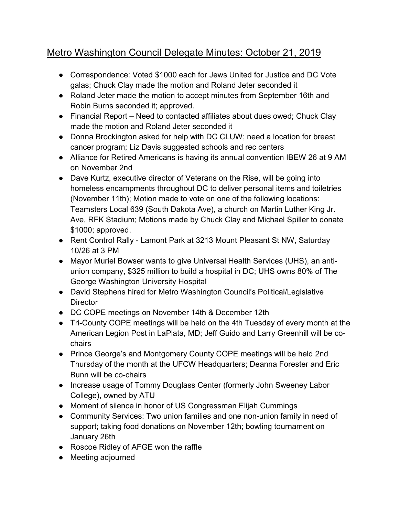## Metro Washington Council Delegate Minutes: October 21, 2019

- Correspondence: Voted \$1000 each for Jews United for Justice and DC Vote galas; Chuck Clay made the motion and Roland Jeter seconded it
- Roland Jeter made the motion to accept minutes from September 16th and Robin Burns seconded it; approved.
- Financial Report Need to contacted affiliates about dues owed; Chuck Clay made the motion and Roland Jeter seconded it
- Donna Brockington asked for help with DC CLUW; need a location for breast cancer program; Liz Davis suggested schools and rec centers
- Alliance for Retired Americans is having its annual convention IBEW 26 at 9 AM on November 2nd
- Dave Kurtz, executive director of Veterans on the Rise, will be going into homeless encampments throughout DC to deliver personal items and toiletries (November 11th); Motion made to vote on one of the following locations: Teamsters Local 639 (South Dakota Ave), a church on Martin Luther King Jr. Ave, RFK Stadium; Motions made by Chuck Clay and Michael Spiller to donate \$1000; approved.
- Rent Control Rally Lamont Park at 3213 Mount Pleasant St NW, Saturday 10/26 at 3 PM
- Mayor Muriel Bowser wants to give Universal Health Services (UHS), an antiunion company, \$325 million to build a hospital in DC; UHS owns 80% of The George Washington University Hospital
- David Stephens hired for Metro Washington Council's Political/Legislative **Director**
- DC COPE meetings on November 14th & December 12th
- Tri-County COPE meetings will be held on the 4th Tuesday of every month at the American Legion Post in LaPlata, MD; Jeff Guido and Larry Greenhill will be cochairs
- Prince George's and Montgomery County COPE meetings will be held 2nd Thursday of the month at the UFCW Headquarters; Deanna Forester and Eric Bunn will be co-chairs
- Increase usage of Tommy Douglass Center (formerly John Sweeney Labor College), owned by ATU
- Moment of silence in honor of US Congressman Elijah Cummings
- Community Services: Two union families and one non-union family in need of support; taking food donations on November 12th; bowling tournament on January 26th
- Roscoe Ridley of AFGE won the raffle
- Meeting adjourned